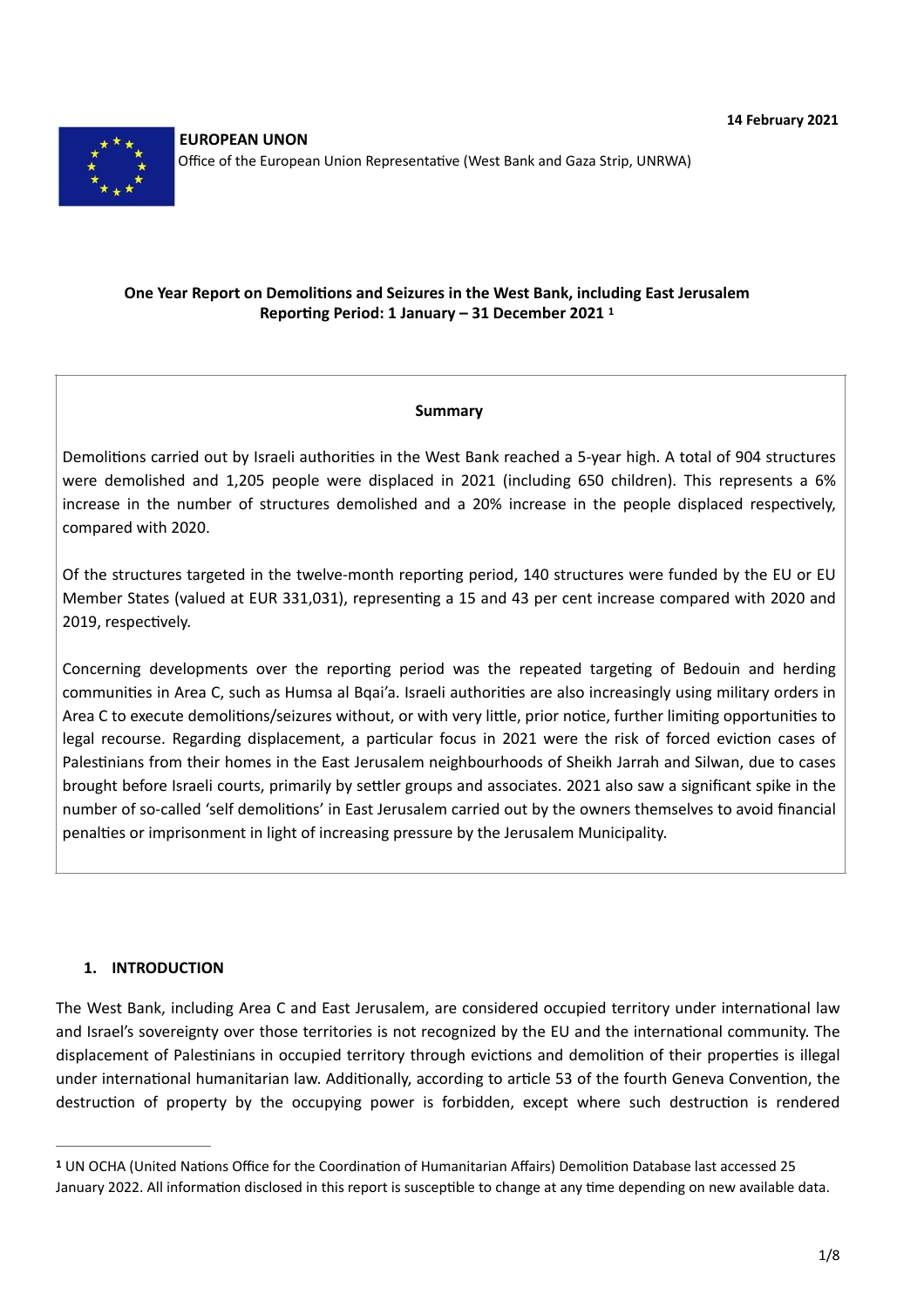

## **One Year Report on Demolitions and Seizures in the West Bank, including East Jerusalem Reporting Period: 1 January – 31 December 2021 [1](#page-0-0)**

#### <span id="page-0-1"></span>**Summary**

Demolitions carried out by Israeli authorities in the West Bank reached a 5-year high. A total of 904 structures were demolished and 1,205 people were displaced in 2021 (including 650 children). This represents a 6% increase in the number of structures demolished and a 20% increase in the people displaced respectively, compared with 2020.

Of the structures targeted in the twelve-month reporting period, 140 structures were funded by the EU or EU Member States (valued at EUR 331,031), representing a 15 and 43 per cent increase compared with 2020 and 2019, respectively.

Concerning developments over the reporting period was the repeated targeting of Bedouin and herding communities in Area C, such as Humsa al Bqai'a. Israeli authorities are also increasingly using military orders in Area C to execute demolitions/seizures without, or with very little, prior notice, further limiting opportunities to legal recourse. Regarding displacement, a particular focus in 2021 were the risk of forced eviction cases of Palestinians from their homes in the East Jerusalem neighbourhoods of Sheikh Jarrah and Silwan, due to cases brought before Israeli courts, primarily by settler groups and associates. 2021 also saw a significant spike in the number of so-called 'self demolitions' in East Jerusalem carried out by the owners themselves to avoid financial penalties or imprisonment in light of increasing pressure by the Jerusalem Municipality.

#### **1. INTRODUCTION**

The West Bank, including Area C and East Jerusalem, are considered occupied territory under international law and Israel's sovereignty over those territories is not recognized by the EU and the international community. The displacement of Palestinians in occupied territory through evictions and demolition of their properties is illegal under international humanitarian law. Additionally, according to article 53 of the fourth Geneva Convention, the destruction of property by the occupying power is forbidden, except where such destruction is rendered

<span id="page-0-0"></span>UN OCHA (United Nations Office for the Coordination of Humanitarian Affairs) Demolition Database last accessed 25 **[1](#page-0-1)** January 2022. All information disclosed in this report is susceptible to change at any time depending on new available data.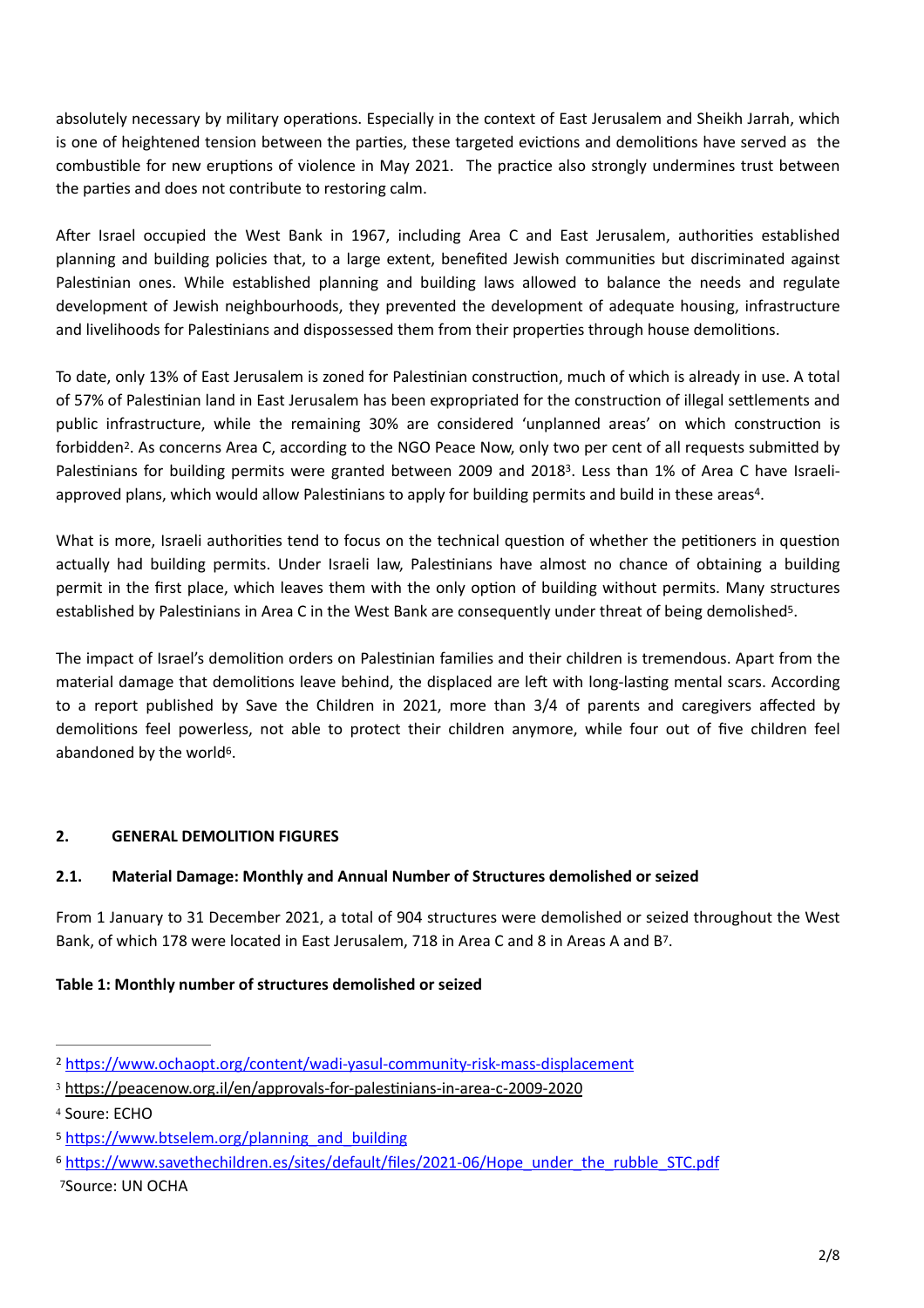absolutely necessary by military operations. Especially in the context of East Jerusalem and Sheikh Jarrah, which is one of heightened tension between the parties, these targeted evictions and demolitions have served as the combustible for new eruptions of violence in May 2021. The practice also strongly undermines trust between the parties and does not contribute to restoring calm.

After Israel occupied the West Bank in 1967, including Area C and East Jerusalem, authorities established planning and building policies that, to a large extent, benefited Jewish communities but discriminated against Palestinian ones. While established planning and building laws allowed to balance the needs and regulate development of Jewish neighbourhoods, they prevented the development of adequate housing, infrastructure and livelihoods for Palestinians and dispossessed them from their properties through house demolitions.

<span id="page-1-6"></span>To date, only 13% of East Jerusalem is zoned for Palestinian construction, much of which is already in use. A total of 57% of Palestinian land in East Jerusalem has been expropriated for the construction of illegal settlements and public infrastructure, while the remaining 30% are considered 'unplanned areas' on which construction is forbidden<sup>2</sup>[.](#page-1-0) As concerns Area C, according to the NGO Peace Now, only two per cent of all requests submitted by Palestinians for building permits were granted between 2009 and 2018<sup>[3](#page-1-1)</sup>. Less than 1% of Area C have Israeli-approved plans, which would allow Palestinians to apply for building permits and build in these areas<sup>[4](#page-1-2)</sup>.

<span id="page-1-8"></span><span id="page-1-7"></span>What is more, Israeli authorities tend to focus on the technical question of whether the petitioners in question actually had building permits. Under Israeli law, Palestinians have almost no chance of obtaining a building permit in the first place, which leaves them with the only option of building without permits. Many structures established by Palestinians in Area C in the West Bank are consequently under threat of being demolished<sup>5</sup>[.](#page-1-3)

<span id="page-1-9"></span>The impact of Israel's demolition orders on Palestinian families and their children is tremendous. Apart from the material damage that demolitions leave behind, the displaced are left with long-lasting mental scars. According to a report published by Save the Children in 2021, more than 3/4 of parents and caregivers affected by demolitions feel powerless, not able to protect their children anymore, while four out of five children feel abandoned by the world $6$ .

# <span id="page-1-10"></span>**2. GENERAL DEMOLITION FIGURES**

### **2.1. Material Damage: Monthly and Annual Number of Structures demolished or seized**

<span id="page-1-11"></span>From 1 January to 31 December 2021, a total of 904 structures were demolished or seized throughout the West Bank, of which 1[7](#page-1-5)8 were located in East Jerusalem, 718 in Area C and 8 in Areas A and B<sup>7</sup>.

### **Table 1: Monthly number of structures demolished or seized**

<span id="page-1-0"></span><https://www.ochaopt.org/content/wadi-yasul-community-risk-mass-displacement> [2](#page-1-6)

<span id="page-1-1"></span>[<sup>3</sup>](#page-1-7) <https://peacenow.org.il/en/approvals-for-palestinians-in-area-c-2009-2020>

<span id="page-1-2"></span><sup>&</sup>lt;sup>[4](#page-1-8)</sup> Soure: ECHO

<span id="page-1-3"></span>[<sup>5</sup>](#page-1-9) [https://www.btselem.org/planning\\_and\\_building](https://www.btselem.org/planning_and_building)

<span id="page-1-5"></span><span id="page-1-4"></span><sup>6</sup> [https://www.savethechildren.es/sites/default/files/2021-06/Hope\\_under\\_the\\_rubble\\_STC.pdf](https://www.savethechildren.es/sites/default/files/2021-06/Hope_under_the_rubble_STC.pdf) [7](#page-1-11)Source: UN OCHA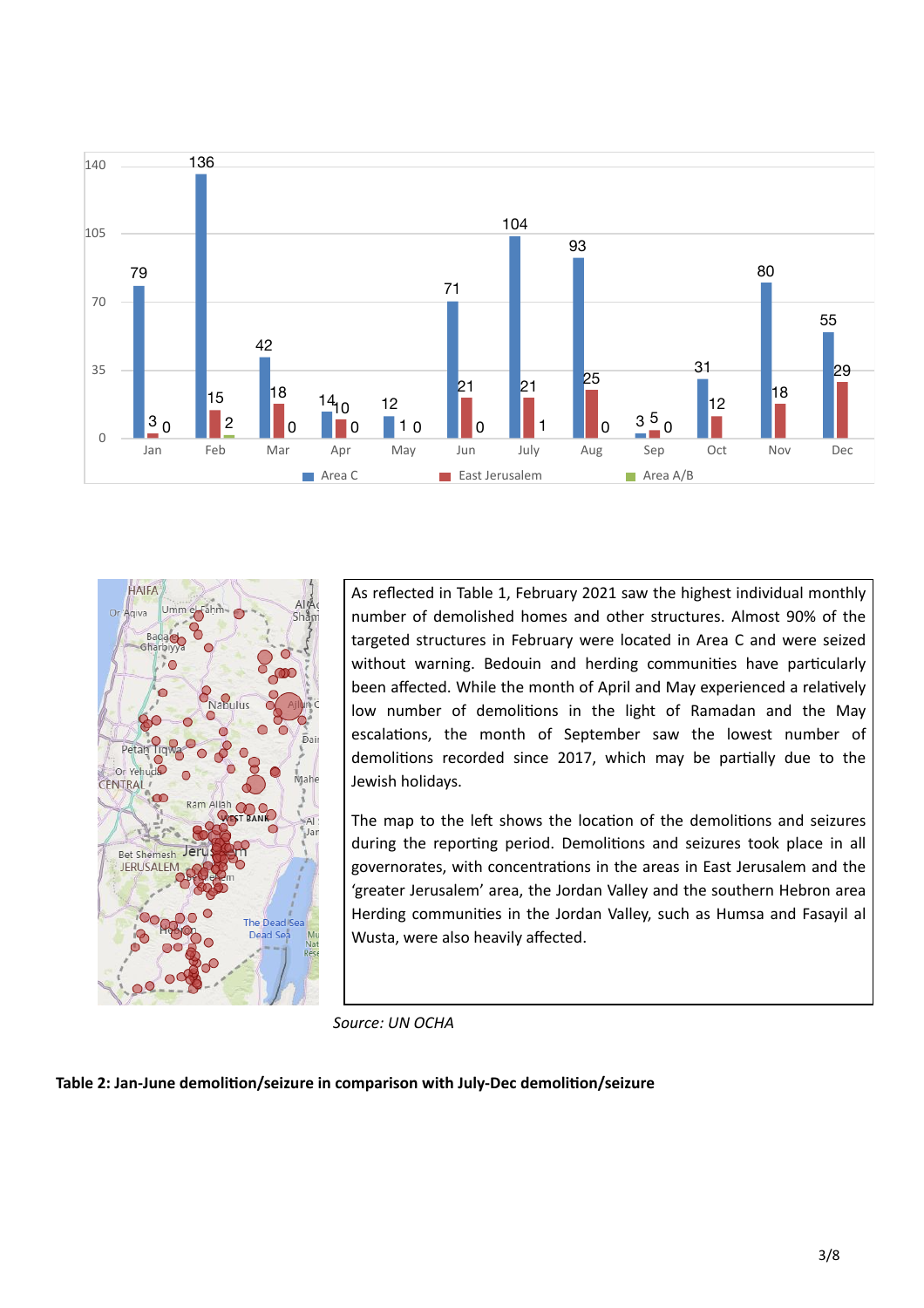



As reflected in Table 1, February 2021 saw the highest individual monthly number of demolished homes and other structures. Almost 90% of the targeted structures in February were located in Area C and were seized without warning. Bedouin and herding communities have particularly been affected. While the month of April and May experienced a relatively low number of demolitions in the light of Ramadan and the May escalations, the month of September saw the lowest number of demolitions recorded since 2017, which may be partially due to the Jewish holidays.

The map to the left shows the location of the demolitions and seizures during the reporting period. Demolitions and seizures took place in all governorates, with concentrations in the areas in East Jerusalem and the 'greater Jerusalem' area, the Jordan Valley and the southern Hebron area Herding communities in the Jordan Valley, such as Humsa and Fasayil al Wusta, were also heavily affected.

*Source: UN OCHA*

**Table 2: Jan-June demolition/seizure in comparison with July-Dec demolition/seizure**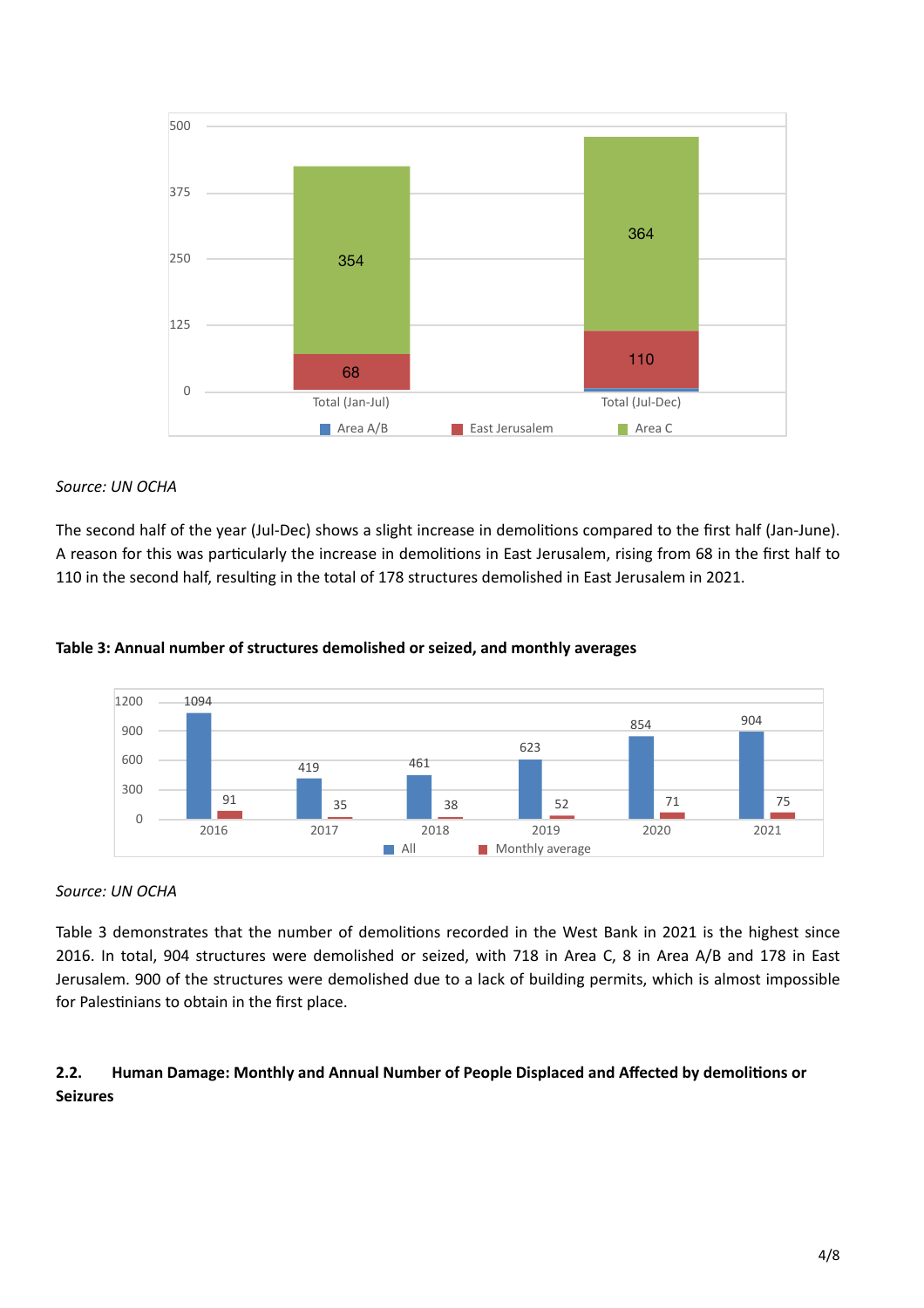

### *Source: UN OCHA*

The second half of the year (Jul-Dec) shows a slight increase in demolitions compared to the first half (Jan-June). A reason for this was particularly the increase in demolitions in East Jerusalem, rising from 68 in the first half to 110 in the second half, resulting in the total of 178 structures demolished in East Jerusalem in 2021.



#### **Table 3: Annual number of structures demolished or seized, and monthly averages**

#### *Source: UN OCHA*

Table 3 demonstrates that the number of demolitions recorded in the West Bank in 2021 is the highest since 2016. In total, 904 structures were demolished or seized, with 718 in Area C, 8 in Area A/B and 178 in East Jerusalem. 900 of the structures were demolished due to a lack of building permits, which is almost impossible for Palestinians to obtain in the first place.

## **2.2. Human Damage: Monthly and Annual Number of People Displaced and Affected by demolitions or Seizures**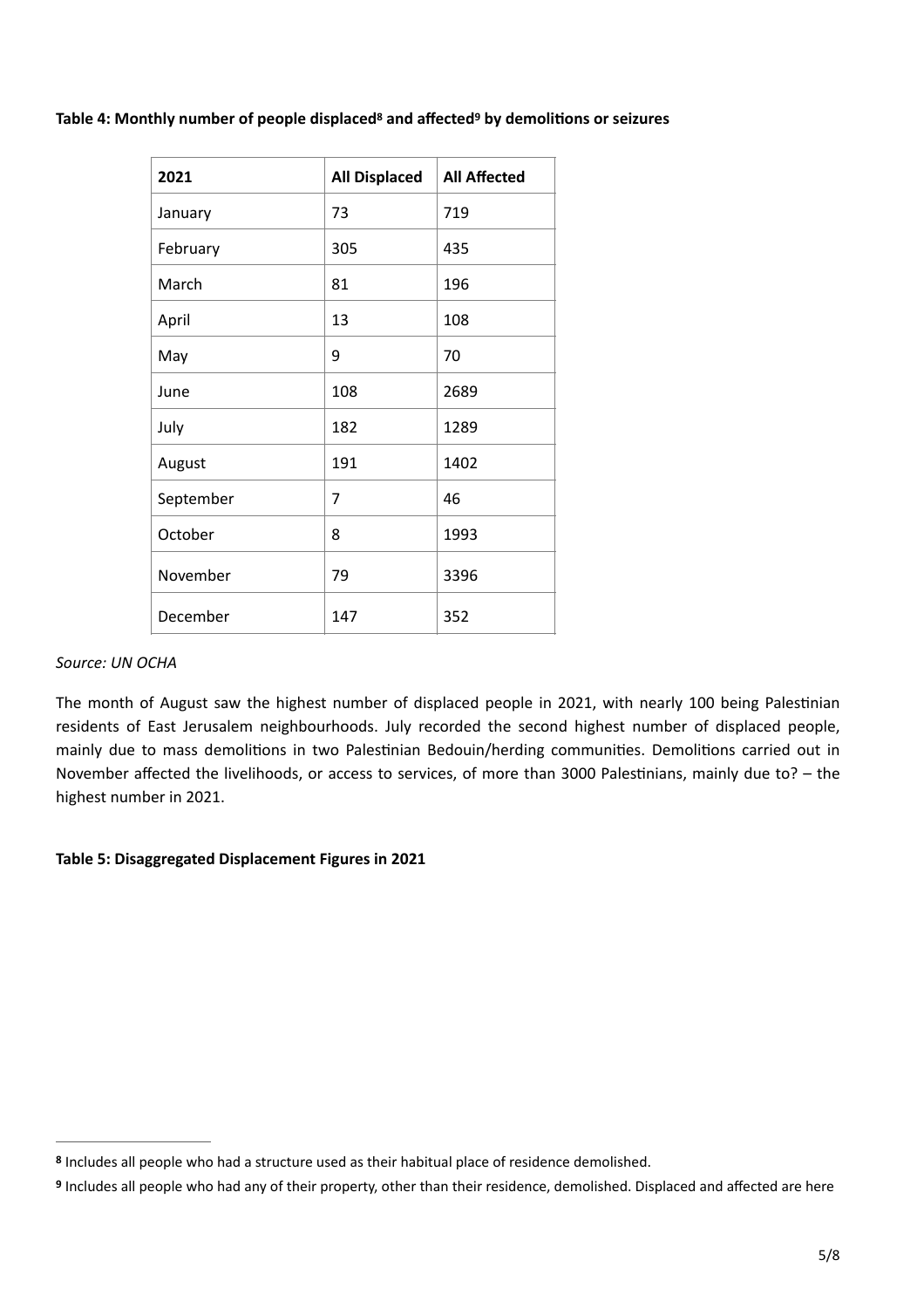Table 4: Monthly number of people displaced<sup>8</sup> and affected<sup>9</sup> by demolitions or seizures

<span id="page-4-3"></span><span id="page-4-2"></span>

| 2021      | <b>All Displaced</b> | <b>All Affected</b> |
|-----------|----------------------|---------------------|
| January   | 73                   | 719                 |
| February  | 305                  | 435                 |
| March     | 81                   | 196                 |
| April     | 13                   | 108                 |
| May       | 9                    | 70                  |
| June      | 108                  | 2689                |
| July      | 182                  | 1289                |
| August    | 191                  | 1402                |
| September | 7                    | 46                  |
| October   | 8                    | 1993                |
| November  | 79                   | 3396                |
| December  | 147                  | 352                 |

#### *Source: UN OCHA*

The month of August saw the highest number of displaced people in 2021, with nearly 100 being Palestinian residents of East Jerusalem neighbourhoods. July recorded the second highest number of displaced people, mainly due to mass demolitions in two Palestinian Bedouin/herding communities. Demolitions carried out in November affected the livelihoods, or access to services, of more than 3000 Palestinians, mainly due to? – the highest number in 2021.

### **Table 5: Disaggregated Displacement Figures in 2021**

<span id="page-4-0"></span>Includes all people who had a structure used as their habitual place of residence demolished. **[8](#page-4-2)**

<span id="page-4-1"></span>**[<sup>9</sup>](#page-4-3)** Includes all people who had any of their property, other than their residence, demolished. Displaced and affected are here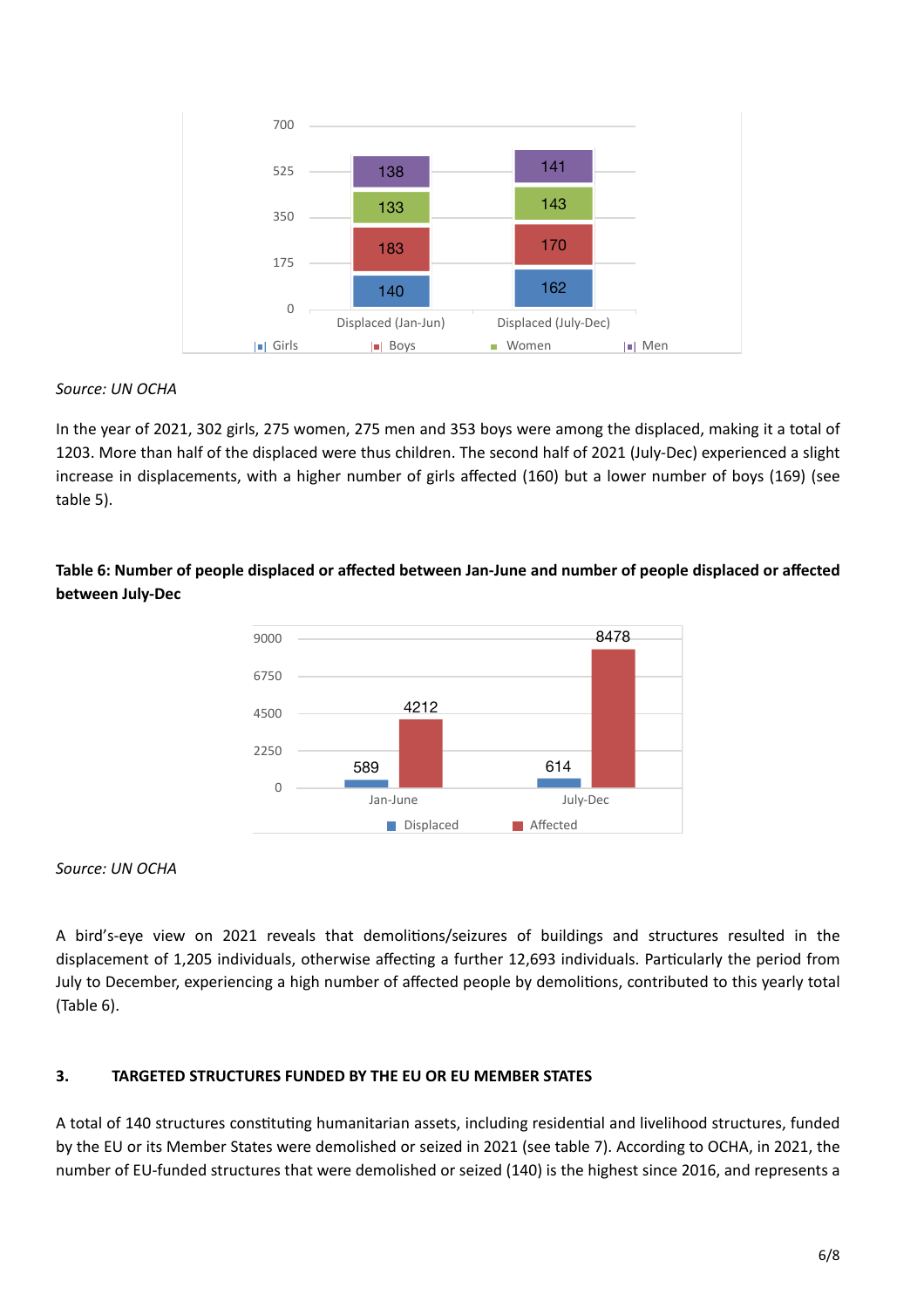

### *Source: UN OCHA*

In the year of 2021, 302 girls, 275 women, 275 men and 353 boys were among the displaced, making it a total of 1203. More than half of the displaced were thus children. The second half of 2021 (July-Dec) experienced a slight increase in displacements, with a higher number of girls affected (160) but a lower number of boys (169) (see table 5).

## **Table 6: Number of people displaced or affected between Jan-June and number of people displaced or affected between July-Dec**



*Source: UN OCHA*

A bird's-eye view on 2021 reveals that demolitions/seizures of buildings and structures resulted in the displacement of 1,205 individuals, otherwise affecting a further 12,693 individuals. Particularly the period from July to December, experiencing a high number of affected people by demolitions, contributed to this yearly total (Table 6).

### **3. TARGETED STRUCTURES FUNDED BY THE EU OR EU MEMBER STATES**

A total of 140 structures constituting humanitarian assets, including residential and livelihood structures, funded by the EU or its Member States were demolished or seized in 2021 (see table 7). According to OCHA, in 2021, the number of EU-funded structures that were demolished or seized (140) is the highest since 2016, and represents a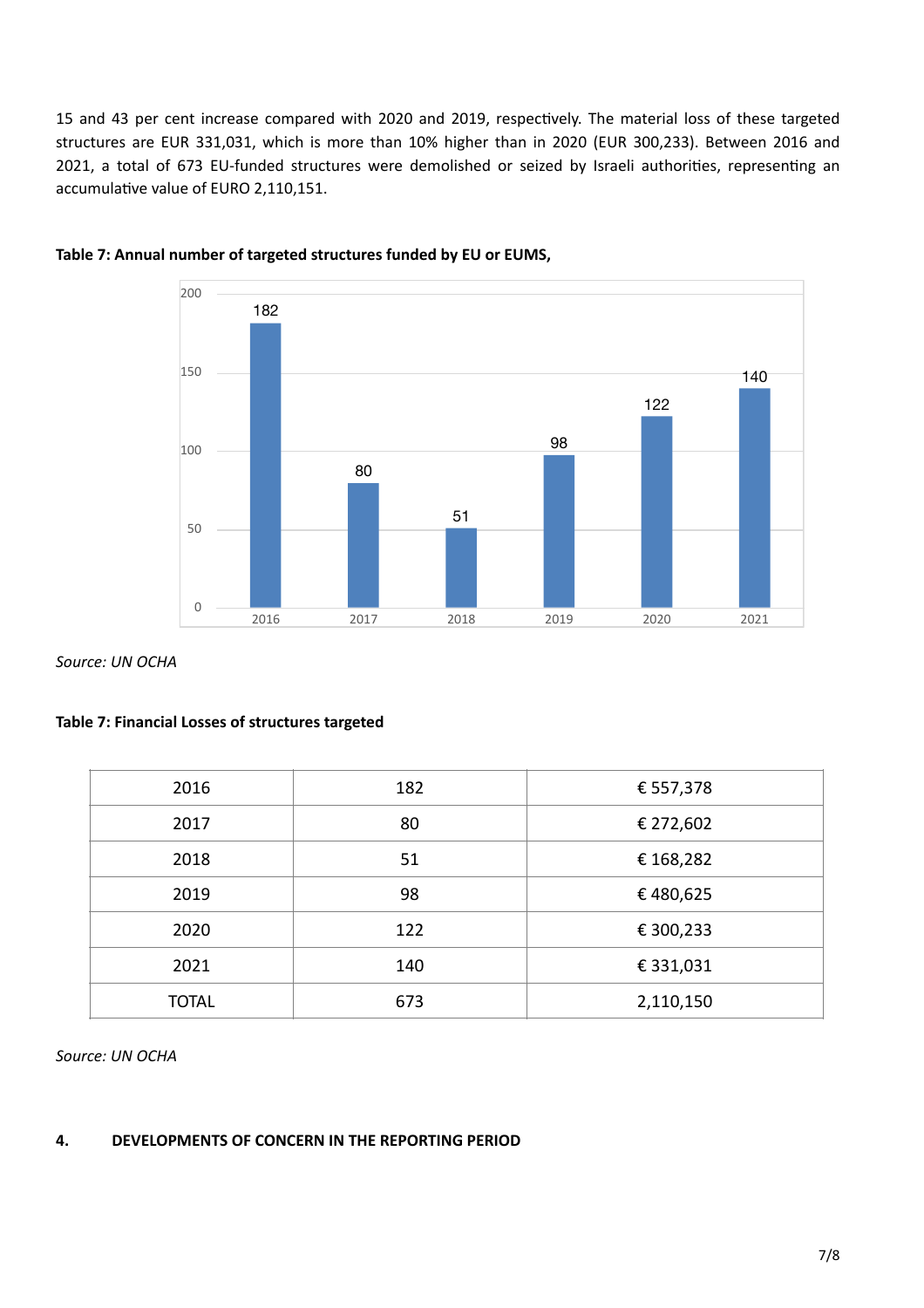15 and 43 per cent increase compared with 2020 and 2019, respectively. The material loss of these targeted structures are EUR 331,031, which is more than 10% higher than in 2020 (EUR 300,233). Between 2016 and 2021, a total of 673 EU-funded structures were demolished or seized by Israeli authorities, representing an accumulative value of EURO 2,110,151.





*Source: UN OCHA*

#### **Table 7: Financial Losses of structures targeted**

| 2016         | 182 | € 557,378 |
|--------------|-----|-----------|
| 2017         | 80  | € 272,602 |
| 2018         | 51  | € 168,282 |
| 2019         | 98  | €480,625  |
| 2020         | 122 | € 300,233 |
| 2021         | 140 | € 331,031 |
| <b>TOTAL</b> | 673 | 2,110,150 |

*Source: UN OCHA*

#### **4. DEVELOPMENTS OF CONCERN IN THE REPORTING PERIOD**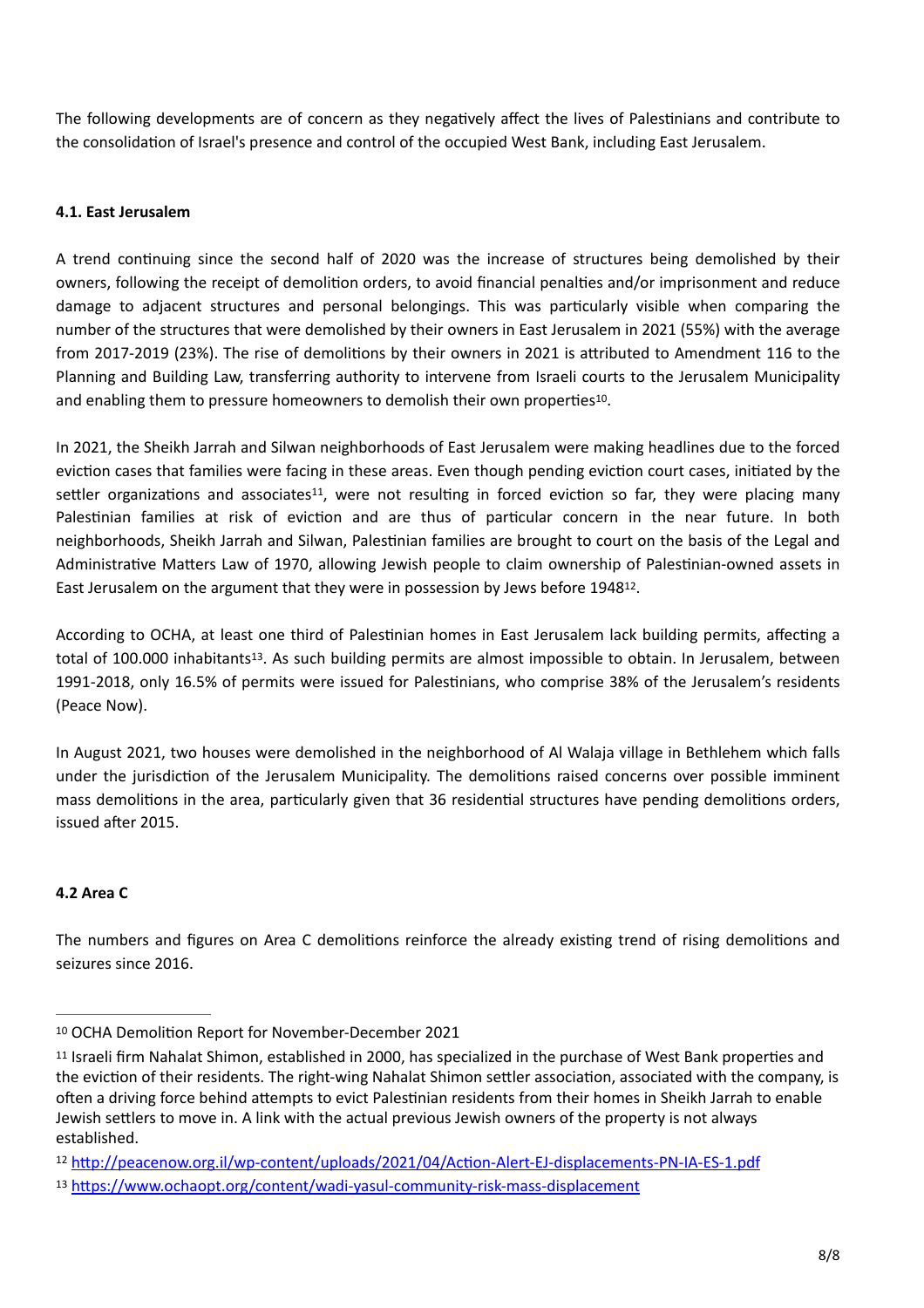The following developments are of concern as they negatively affect the lives of Palestinians and contribute to the consolidation of Israel's presence and control of the occupied West Bank, including East Jerusalem.

### **4.1. East Jerusalem**

A trend continuing since the second half of 2020 was the increase of structures being demolished by their owners, following the receipt of demolition orders, to avoid financial penalties and/or imprisonment and reduce damage to adjacent structures and personal belongings. This was particularly visible when comparing the number of the structures that were demolished by their owners in East Jerusalem in 2021 (55%) with the average from 2017-2019 (23%). The rise of demolitions by their owners in 2021 is attributed to Amendment 116 to the Planning and Building Law, transferring authority to intervene from Israeli courts to the Jerusalem Municipality and enabling them to pressure homeowners to demolish their own properties<sup>[10](#page-7-0)</sup>.

<span id="page-7-5"></span><span id="page-7-4"></span>In 2021, the Sheikh Jarrah and Silwan neighborhoods of East Jerusalem were making headlines due to the forced eviction cases that families were facing in these areas. Even though pending eviction court cases, initiated by the settler organizations and associates<sup>[11](#page-7-1)</sup>, were not resulting in forced eviction so far, they were placing many Palestinian families at risk of eviction and are thus of particular concern in the near future. In both neighborhoods, Sheikh Jarrah and Silwan, Palestinian families are brought to court on the basis of the Legal and Administrative Matters Law of 1970, allowing Jewish people to claim ownership of Palestinian-owned assets in East Jerusalem on the argument that they were in possession by Jews before 1948<sup>[12](#page-7-2)</sup>.

<span id="page-7-7"></span><span id="page-7-6"></span>According to OCHA, at least one third of Palestinian homes in East Jerusalem lack building permits, affecting a total of 100.000 inhabitants<sup>[13](#page-7-3)</sup>. As such building permits are almost impossible to obtain. In Jerusalem, between 1991-2018, only 16.5% of permits were issued for Palestinians, who comprise 38% of the Jerusalem's residents (Peace Now).

In August 2021, two houses were demolished in the neighborhood of Al Walaja village in Bethlehem which falls under the jurisdiction of the Jerusalem Municipality. The demolitions raised concerns over possible imminent mass demolitions in the area, particularly given that 36 residential structures have pending demolitions orders, issued after 2015.

### **4.2 Area C**

The numbers and figures on Area C demolitions reinforce the already existing trend of rising demolitions and seizures since 2016.

<span id="page-7-0"></span>[<sup>10</sup>](#page-7-4) OCHA Demolition Report for November-December 2021

<span id="page-7-1"></span><sup>&</sup>lt;sup>[11](#page-7-5)</sup> Israeli firm Nahalat Shimon, established in 2000, has specialized in the purchase of West Bank properties and the eviction of their residents. The right-wing Nahalat Shimon settler association, associated with the company, is often a driving force behind attempts to evict Palestinian residents from their homes in Sheikh Jarrah to enable Jewish settlers to move in. A link with the actual previous Jewish owners of the property is not always established.

<span id="page-7-2"></span><sup>12</sup> <http://peacenow.org.il/wp-content/uploads/2021/04/Action-Alert-EJ-displacements-PN-IA-ES-1.pdf>

<span id="page-7-3"></span><https://www.ochaopt.org/content/wadi-yasul-community-risk-mass-displacement> [13](#page-7-7)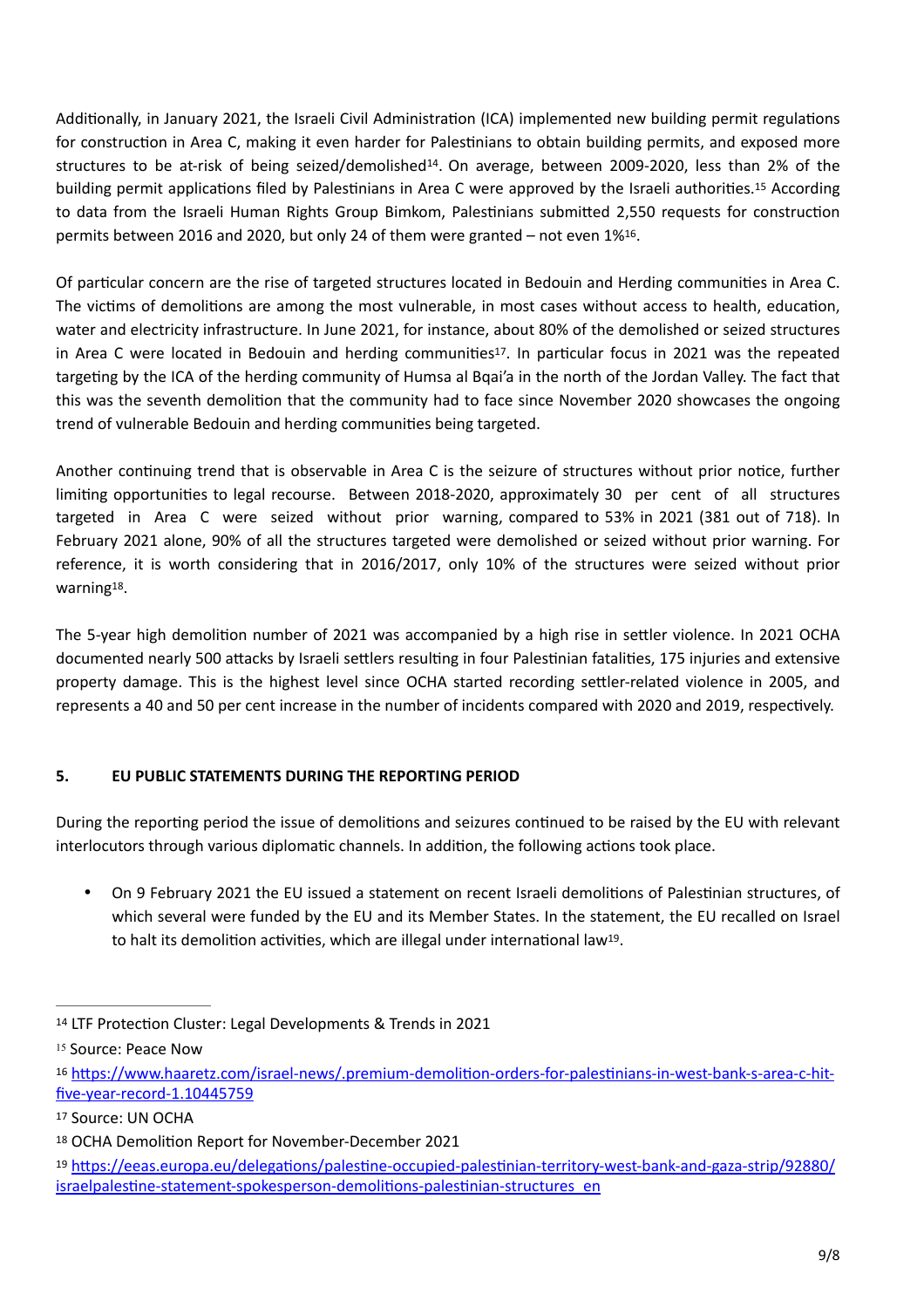<span id="page-8-7"></span><span id="page-8-6"></span>Additionally, in January 2021, the Israeli Civil Administration (ICA) implemented new building permit regulations for construction in Area C, making it even harder for Palestinians to obtain building permits, and exposed more structures to be at-risk of being seized/demolished<sup>[14](#page-8-0)</sup>. On average, between 2009-2020, less than 2% of the building permit applications filed by Palestinians in Area C were approved by the Israeli authorities.<sup>[15](#page-8-1)</sup> According to data from the Israeli Human Rights Group Bimkom, Palestinians submitted 2,550 requests for construction permits between 20[16](#page-8-2) and 2020, but only 24 of them were granted – not even  $1\%^{16}$ .

<span id="page-8-9"></span><span id="page-8-8"></span>Of particular concern are the rise of targeted structures located in Bedouin and Herding communities in Area C. The victims of demolitions are among the most vulnerable, in most cases without access to health, education, water and electricity infrastructure. In June 2021, for instance, about 80% of the demolished or seized structures in Area C were located in Bedouin and herding communities<sup>17</sup>[.](#page-8-3) In particular focus in 2021 was the repeated targeting by the ICA of the herding community of Humsa al Bqai'a in the north of the Jordan Valley. The fact that this was the seventh demolition that the community had to face since November 2020 showcases the ongoing trend of vulnerable Bedouin and herding communities being targeted.

Another continuing trend that is observable in Area C is the seizure of structures without prior notice, further limiting opportunities to legal recourse. Between 2018-2020, approximately 30 per cent of all structures targeted in Area C were seized without prior warning, compared to 53% in 2021 (381 out of 718). In February 2021 alone, 90% of all the structures targeted were demolished or seized without prior warning. For reference, it is worth considering that in 2016/2017, only 10% of the structures were seized without prior warning $18$ .

<span id="page-8-10"></span>The 5-year high demolition number of 2021 was accompanied by a high rise in settler violence. In 2021 OCHA documented nearly 500 attacks by Israeli settlers resulting in four Palestinian fatalities, 175 injuries and extensive property damage. This is the highest level since OCHA started recording settler-related violence in 2005, and represents a 40 and 50 per cent increase in the number of incidents compared with 2020 and 2019, respectively.

# **5. EU PUBLIC STATEMENTS DURING THE REPORTING PERIOD**

During the reporting period the issue of demolitions and seizures continued to be raised by the EU with relevant interlocutors through various diplomatic channels. In addition, the following actions took place.

<span id="page-8-11"></span>• On 9 February 2021 the EU issued a statement on recent Israeli demolitions of Palestinian structures, of which several were funded by the EU and its Member States. In the statement, the EU recalled on Israel to halt its demolition activities, which are illegal under international law<sup>[19](#page-8-5)</sup>.

<span id="page-8-0"></span><sup>&</sup>lt;sup>[14](#page-8-6)</sup> LTF Protection Cluster: Legal Developments & Trends in 2021

<span id="page-8-1"></span>[<sup>15</sup>](#page-8-7) Source: Peace Now

<span id="page-8-2"></span>[https://www.haaretz.com/israel-news/.premium-demolition-orders-for-palestinians-in-west-bank-s-area-c-hit-](https://www.haaretz.com/israel-news/.premium-demolition-orders-for-palestinians-in-west-bank-s-area-c-hit-five-year-record-1.10445759) [16](#page-8-8) [five-year-record-1.10445759](https://www.haaretz.com/israel-news/.premium-demolition-orders-for-palestinians-in-west-bank-s-area-c-hit-five-year-record-1.10445759)

<span id="page-8-3"></span>[<sup>17</sup>](#page-8-9) Source: UN OCHA

<span id="page-8-4"></span>[<sup>18</sup>](#page-8-10) OCHA Demolition Report for November-December 2021

<span id="page-8-5"></span><sup>19</sup> [https://eeas.europa.eu/delegations/palestine-occupied-palestinian-territory-west-bank-and-gaza-strip/92880/](https://eeas.europa.eu/delegations/palestine-occupied-palestinian-territory-west-bank-and-gaza-strip/92880/israelpalestine-statement-spokesperson-demolitions-palestinian-structures_en) [israelpalestine-statement-spokesperson-demolitions-palestinian-structures\\_en](https://eeas.europa.eu/delegations/palestine-occupied-palestinian-territory-west-bank-and-gaza-strip/92880/israelpalestine-statement-spokesperson-demolitions-palestinian-structures_en)